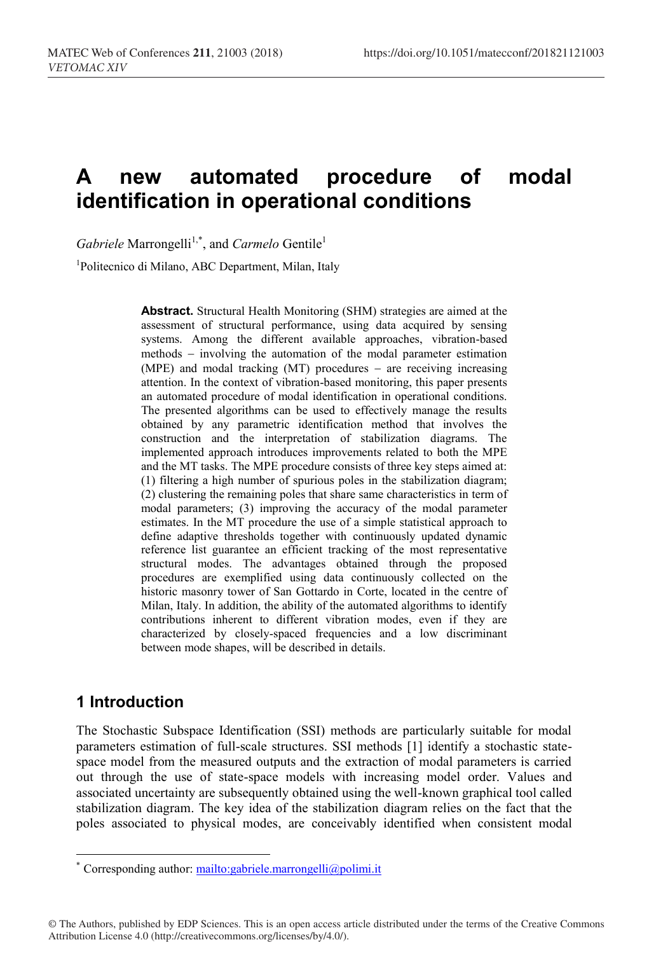# **A new automated procedure of modal identification in operational conditions**

Gabriele Marrongelli<sup>1,\*</sup>, and *Carmelo* Gentile<sup>1</sup>

1 Politecnico di Milano, ABC Department, Milan, Italy

**Abstract.** Structural Health Monitoring (SHM) strategies are aimed at the assessment of structural performance, using data acquired by sensing systems. Among the different available approaches, vibration-based methods  $-$  involving the automation of the modal parameter estimation (MPE) and modal tracking (MT) procedures  $-$  are receiving increasing attention. In the context of vibration-based monitoring, this paper presents an automated procedure of modal identification in operational conditions. The presented algorithms can be used to effectively manage the results obtained by any parametric identification method that involves the construction and the interpretation of stabilization diagrams. The implemented approach introduces improvements related to both the MPE and the MT tasks. The MPE procedure consists of three key steps aimed at: (1) filtering a high number of spurious poles in the stabilization diagram; (2) clustering the remaining poles that share same characteristics in term of modal parameters; (3) improving the accuracy of the modal parameter estimates. In the MT procedure the use of a simple statistical approach to define adaptive thresholds together with continuously updated dynamic reference list guarantee an efficient tracking of the most representative structural modes. The advantages obtained through the proposed procedures are exemplified using data continuously collected on the historic masonry tower of San Gottardo in Corte, located in the centre of Milan, Italy. In addition, the ability of the automated algorithms to identify contributions inherent to different vibration modes, even if they are characterized by closely-spaced frequencies and a low discriminant between mode shapes, will be described in details.

# **1 Introduction**

 $\overline{a}$ 

The Stochastic Subspace Identification (SSI) methods are particularly suitable for modal parameters estimation of full-scale structures. SSI methods [1] identify a stochastic statespace model from the measured outputs and the extraction of modal parameters is carried out through the use of state-space models with increasing model order. Values and associated uncertainty are subsequently obtained using the well-known graphical tool called stabilization diagram. The key idea of the stabilization diagram relies on the fact that the poles associated to physical modes, are conceivably identified when consistent modal

© The Authors, published by EDP Sciences. This is an open access article distributed under the terms of the Creative Commons Attribution License 4.0 (http://creativecommons.org/licenses/by/4.0/).

<sup>\*</sup> Corresponding author: mailto:gabriele.marrongelli@polimi.it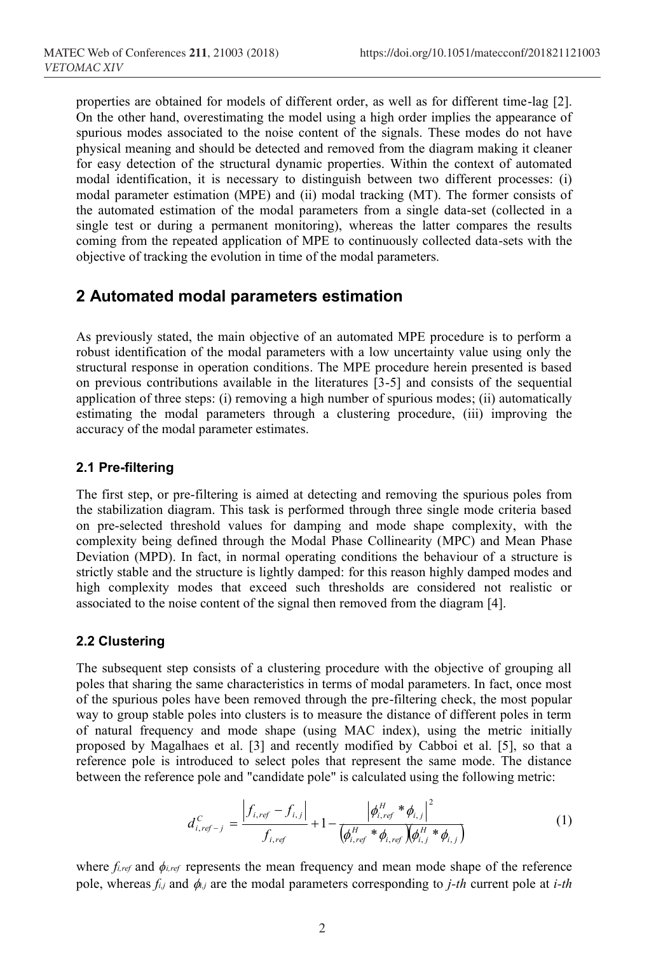properties are obtained for models of different order, as well as for different time-lag [2]. On the other hand, overestimating the model using a high order implies the appearance of spurious modes associated to the noise content of the signals. These modes do not have physical meaning and should be detected and removed from the diagram making it cleaner for easy detection of the structural dynamic properties. Within the context of automated modal identification, it is necessary to distinguish between two different processes: (i) modal parameter estimation (MPE) and (ii) modal tracking (MT). The former consists of the automated estimation of the modal parameters from a single data-set (collected in a single test or during a permanent monitoring), whereas the latter compares the results coming from the repeated application of MPE to continuously collected data-sets with the objective of tracking the evolution in time of the modal parameters.

## **2 Automated modal parameters estimation**

As previously stated, the main objective of an automated MPE procedure is to perform a robust identification of the modal parameters with a low uncertainty value using only the structural response in operation conditions. The MPE procedure herein presented is based on previous contributions available in the literatures [3-5] and consists of the sequential application of three steps: (i) removing a high number of spurious modes; (ii) automatically estimating the modal parameters through a clustering procedure, (iii) improving the accuracy of the modal parameter estimates.

### **2.1 Pre-filtering**

The first step, or pre-filtering is aimed at detecting and removing the spurious poles from the stabilization diagram. This task is performed through three single mode criteria based on pre-selected threshold values for damping and mode shape complexity, with the complexity being defined through the Modal Phase Collinearity (MPC) and Mean Phase Deviation (MPD). In fact, in normal operating conditions the behaviour of a structure is strictly stable and the structure is lightly damped: for this reason highly damped modes and high complexity modes that exceed such thresholds are considered not realistic or associated to the noise content of the signal then removed from the diagram [4].

#### **2.2 Clustering**

The subsequent step consists of a clustering procedure with the objective of grouping all poles that sharing the same characteristics in terms of modal parameters. In fact, once most of the spurious poles have been removed through the pre-filtering check, the most popular way to group stable poles into clusters is to measure the distance of different poles in term of natural frequency and mode shape (using MAC index), using the metric initially proposed by Magalhaes et al. [3] and recently modified by Cabboi et al. [5], so that a reference pole is introduced to select poles that represent the same mode. The distance between the reference pole and "candidate pole" is calculated using the following metric:

$$
d_{i,ref-j}^{C} = \frac{\left|f_{i,ref} - f_{i,j}\right|}{f_{i,ref}} + 1 - \frac{\left|\phi_{i,ref}^{H} * \phi_{i,j}\right|^{2}}{\left(\phi_{i,ref}^{H} * \phi_{i,ref}\right)\left(\phi_{i,j}^{H} * \phi_{i,j}\right)}
$$
(1)

where *fi,ref* and *ϕi,ref* represents the mean frequency and mean mode shape of the reference pole, whereas  $f_{i,j}$  and  $\phi_{i,j}$  are the modal parameters corresponding to  $j$ -th current pole at  $i$ -th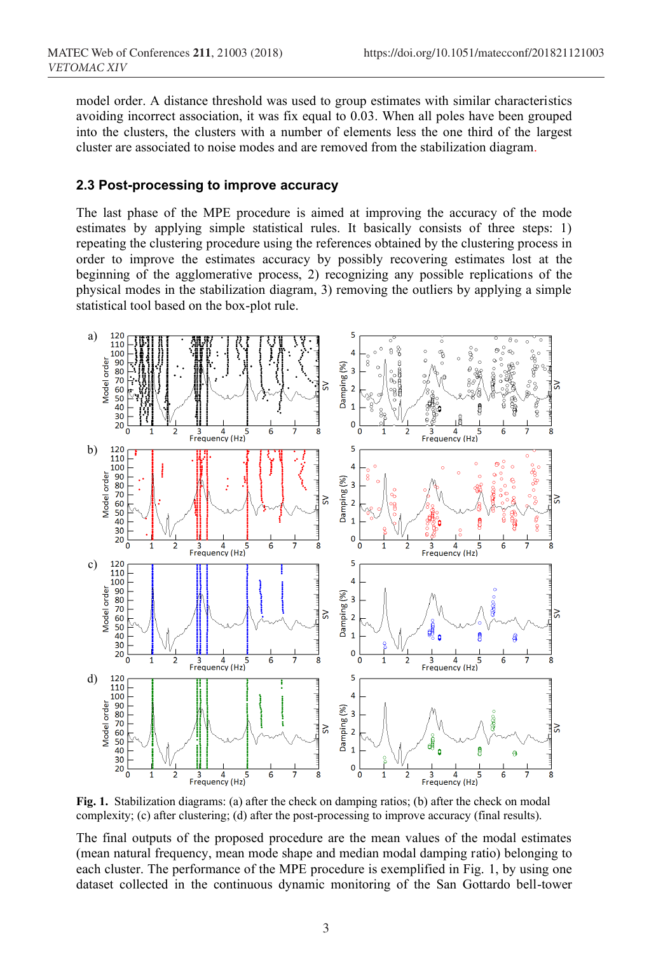model order. A distance threshold was used to group estimates with similar characteristics avoiding incorrect association, it was fix equal to 0.03. When all poles have been grouped into the clusters, the clusters with a number of elements less the one third of the largest cluster are associated to noise modes and are removed from the stabilization diagram.

#### **2.3 Post-processing to improve accuracy**

The last phase of the MPE procedure is aimed at improving the accuracy of the mode estimates by applying simple statistical rules. It basically consists of three steps: 1) repeating the clustering procedure using the references obtained by the clustering process in order to improve the estimates accuracy by possibly recovering estimates lost at the beginning of the agglomerative process, 2) recognizing any possible replications of the physical modes in the stabilization diagram, 3) removing the outliers by applying a simple statistical tool based on the box-plot rule.



**Fig. 1.** Stabilization diagrams: (a) after the check on damping ratios; (b) after the check on modal complexity; (c) after clustering; (d) after the post-processing to improve accuracy (final results).

The final outputs of the proposed procedure are the mean values of the modal estimates (mean natural frequency, mean mode shape and median modal damping ratio) belonging to each cluster. The performance of the MPE procedure is exemplified in Fig. 1, by using one dataset collected in the continuous dynamic monitoring of the San Gottardo bell-tower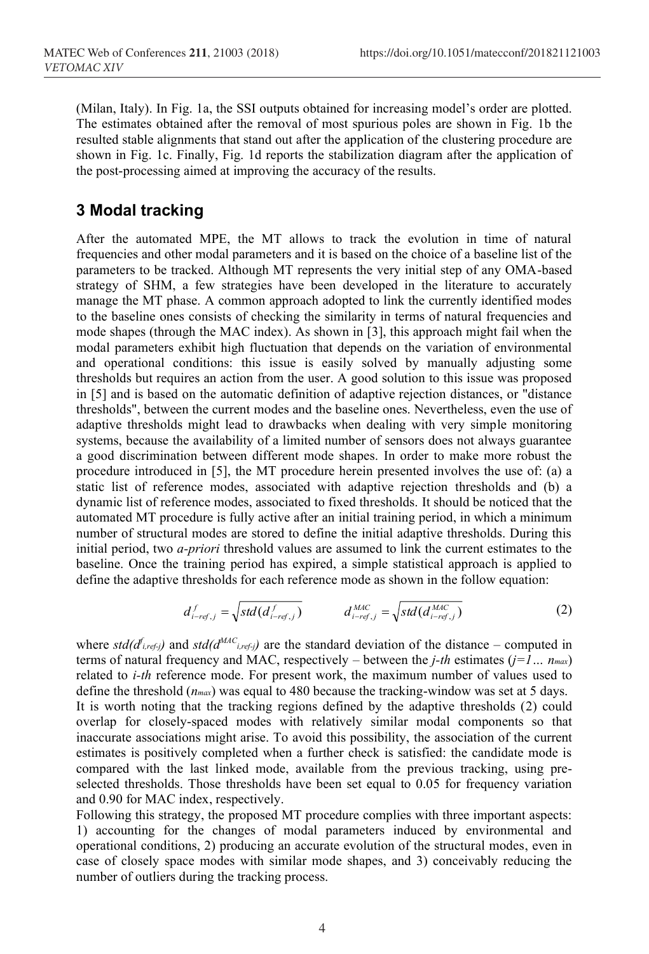(Milan, Italy). In Fig. 1a, the SSI outputs obtained for increasing model's order are plotted. The estimates obtained after the removal of most spurious poles are shown in Fig. 1b the resulted stable alignments that stand out after the application of the clustering procedure are shown in Fig. 1c. Finally, Fig. 1d reports the stabilization diagram after the application of the post-processing aimed at improving the accuracy of the results.

# **3 Modal tracking**

After the automated MPE, the MT allows to track the evolution in time of natural frequencies and other modal parameters and it is based on the choice of a baseline list of the parameters to be tracked. Although MT represents the very initial step of any OMA-based strategy of SHM, a few strategies have been developed in the literature to accurately manage the MT phase. A common approach adopted to link the currently identified modes to the baseline ones consists of checking the similarity in terms of natural frequencies and mode shapes (through the MAC index). As shown in [3], this approach might fail when the modal parameters exhibit high fluctuation that depends on the variation of environmental and operational conditions: this issue is easily solved by manually adjusting some thresholds but requires an action from the user. A good solution to this issue was proposed in [5] and is based on the automatic definition of adaptive rejection distances, or "distance thresholds", between the current modes and the baseline ones. Nevertheless, even the use of adaptive thresholds might lead to drawbacks when dealing with very simple monitoring systems, because the availability of a limited number of sensors does not always guarantee a good discrimination between different mode shapes. In order to make more robust the procedure introduced in [5], the MT procedure herein presented involves the use of: (a) a static list of reference modes, associated with adaptive rejection thresholds and (b) a dynamic list of reference modes, associated to fixed thresholds. It should be noticed that the automated MT procedure is fully active after an initial training period, in which a minimum number of structural modes are stored to define the initial adaptive thresholds. During this initial period, two *a-priori* threshold values are assumed to link the current estimates to the baseline. Once the training period has expired, a simple statistical approach is applied to define the adaptive thresholds for each reference mode as shown in the follow equation:

$$
d_{i-reg,j}^f = \sqrt{std(d_{i-reg,j}^f)}
$$
 
$$
d_{i-reg,j}^{MAC} = \sqrt{std(d_{i-reg,j}^{MAC})}
$$
 (2)

where  $std(d^{i}_{i,ref,j})$  and  $std(d^{MAC}_{i,ref,j})$  are the standard deviation of the distance – computed in terms of natural frequency and MAC, respectively – between the *j-th* estimates  $(j=1... n_{max})$ related to *i-th* reference mode. For present work, the maximum number of values used to define the threshold (*nmax*) was equal to 480 because the tracking-window was set at 5 days. It is worth noting that the tracking regions defined by the adaptive thresholds (2) could overlap for closely-spaced modes with relatively similar modal components so that inaccurate associations might arise. To avoid this possibility, the association of the current estimates is positively completed when a further check is satisfied: the candidate mode is compared with the last linked mode, available from the previous tracking, using preselected thresholds. Those thresholds have been set equal to 0.05 for frequency variation and 0.90 for MAC index, respectively.

Following this strategy, the proposed MT procedure complies with three important aspects: 1) accounting for the changes of modal parameters induced by environmental and operational conditions, 2) producing an accurate evolution of the structural modes, even in case of closely space modes with similar mode shapes, and 3) conceivably reducing the number of outliers during the tracking process.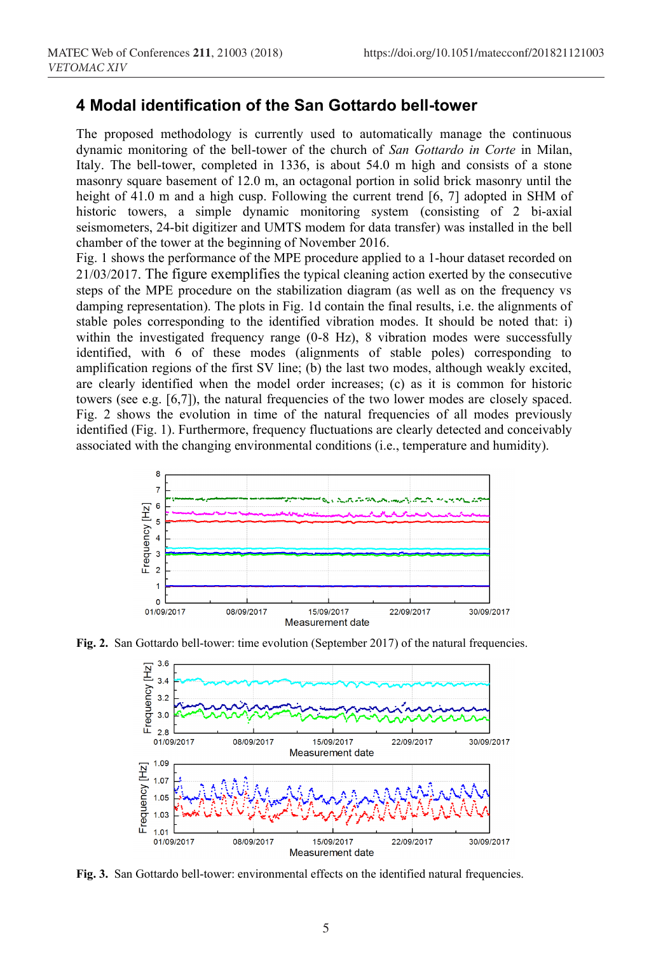## **4 Modal identification of the San Gottardo bell-tower**

The proposed methodology is currently used to automatically manage the continuous dynamic monitoring of the bell-tower of the church of *San Gottardo in Corte* in Milan, Italy. The bell-tower, completed in 1336, is about 54.0 m high and consists of a stone masonry square basement of 12.0 m, an octagonal portion in solid brick masonry until the height of 41.0 m and a high cusp. Following the current trend [6, 7] adopted in SHM of historic towers, a simple dynamic monitoring system (consisting of 2 bi-axial seismometers, 24-bit digitizer and UMTS modem for data transfer) was installed in the bell chamber of the tower at the beginning of November 2016.

Fig. 1 shows the performance of the MPE procedure applied to a 1-hour dataset recorded on 21/03/2017. The figure exemplifies the typical cleaning action exerted by the consecutive steps of the MPE procedure on the stabilization diagram (as well as on the frequency vs damping representation). The plots in Fig. 1d contain the final results, i.e. the alignments of stable poles corresponding to the identified vibration modes. It should be noted that: i) within the investigated frequency range (0-8 Hz), 8 vibration modes were successfully identified, with 6 of these modes (alignments of stable poles) corresponding to amplification regions of the first SV line; (b) the last two modes, although weakly excited, are clearly identified when the model order increases; (c) as it is common for historic towers (see e.g. [6,7]), the natural frequencies of the two lower modes are closely spaced. Fig. 2 shows the evolution in time of the natural frequencies of all modes previously identified (Fig. 1). Furthermore, frequency fluctuations are clearly detected and conceivably associated with the changing environmental conditions (i.e., temperature and humidity).



**Fig. 2.** San Gottardo bell-tower: time evolution (September 2017) of the natural frequencies.



**Fig. 3.** San Gottardo bell-tower: environmental effects on the identified natural frequencies.